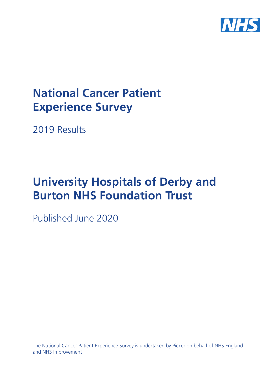

# **National Cancer Patient Experience Survey**

2019 Results

# **University Hospitals of Derby and Burton NHS Foundation Trust**

Published June 2020

The National Cancer Patient Experience Survey is undertaken by Picker on behalf of NHS England and NHS Improvement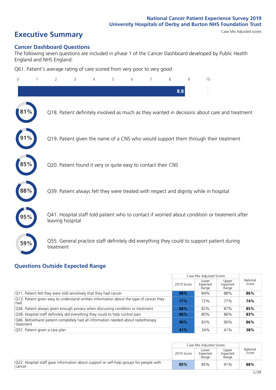# **Executive Summary** Case Mix Adjusted scores

### **Cancer Dashboard Questions**

The following seven questions are included in phase 1 of the Cancer Dashboard developed by Public Health England and NHS England:

Q61. Patient's average rating of care scored from very poor to very good

| $\overline{0}$ | $\overline{2}$                                                | 3 | 4 | 5 | 6 | 8 | 9   | 10                                                                                            |
|----------------|---------------------------------------------------------------|---|---|---|---|---|-----|-----------------------------------------------------------------------------------------------|
|                |                                                               |   |   |   |   |   | 8.8 |                                                                                               |
|                |                                                               |   |   |   |   |   |     | Q18. Patient definitely involved as much as they wanted in decisions about care and treatment |
|                |                                                               |   |   |   |   |   |     | Q19. Patient given the name of a CNS who would support them through their treatment           |
|                | Q20. Patient found it very or quite easy to contact their CNS |   |   |   |   |   |     |                                                                                               |
|                |                                                               |   |   |   |   |   |     | Q39. Patient always felt they were treated with respect and dignity while in hospital         |
|                | leaving hospital                                              |   |   |   |   |   |     | Q41. Hospital staff told patient who to contact if worried about condition or treatment after |
| 59%            | treatment                                                     |   |   |   |   |   |     | Q55. General practice staff definitely did everything they could to support patient during    |

### **Questions Outside Expected Range**

|                                                                                                |            | Case Mix Adjusted Scores   |                            |                   |
|------------------------------------------------------------------------------------------------|------------|----------------------------|----------------------------|-------------------|
|                                                                                                | 2019 Score | Lower<br>Expected<br>Range | Upper<br>Expected<br>Range | National<br>Score |
| Q11. Patient felt they were told sensitively that they had cancer                              | 88%        | 84%                        | 88%                        | 86%               |
| Q13. Patient given easy to understand written information about the type of cancer they<br>had | 77%        | 72%                        | 77%                        | 74%               |
| Q36. Patient always given enough privacy when discussing condition or treatment                | 88%        | 82%                        | 87%                        | 85%               |
| Q38. Hospital staff definitely did everything they could to help control pain                  | 86%        | 80%                        | 86%                        | 83%               |
| Q46. Beforehand patient completely had all information needed about radiotherapy<br>treatment  | 90%        | 83%                        | 90%                        | 86%               |
| Q57. Patient given a care plan                                                                 | 41%        | 34%                        | 41%                        | 38%               |

|                                                                                                  |            | Case Mix Adjusted Scores   |                            |                   |
|--------------------------------------------------------------------------------------------------|------------|----------------------------|----------------------------|-------------------|
|                                                                                                  | 2019 Score | Lower<br>Expected<br>Range | Upper<br>Expected<br>Range | National<br>Score |
| Q22. Hospital staff gave information about support or self-help groups for people with<br>cancer | 85%        | 85%                        | 91%                        | 88%               |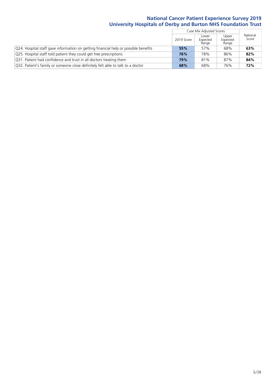|                                                                                               |            | Case Mix Adjusted Scores   |                            |                   |
|-----------------------------------------------------------------------------------------------|------------|----------------------------|----------------------------|-------------------|
|                                                                                               | 2019 Score | Lower<br>Expected<br>Range | Upper<br>Expected<br>Range | National<br>Score |
| $\sqrt{Q}$ 24. Hospital staff gave information on getting financial help or possible benefits | 55%        | 57%                        | 68%                        | 63%               |
| Q25. Hospital staff told patient they could get free prescriptions                            | 76%        | 78%                        | 86%                        | 82%               |
| Q31. Patient had confidence and trust in all doctors treating them                            | 79%        | 81%                        | 87%                        | 84%               |
| Q32. Patient's family or someone close definitely felt able to talk to a doctor               | 68%        | 68%                        | 76%                        | 72%               |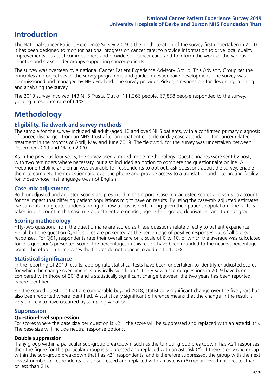### **Introduction**

The National Cancer Patient Experience Survey 2019 is the ninth iteration of the survey first undertaken in 2010. It has been designed to monitor national progress on cancer care; to provide information to drive local quality improvements; to assist commissioners and providers of cancer care; and to inform the work of the various charities and stakeholder groups supporting cancer patients.

The survey was overseen by a national Cancer Patient Experience Advisory Group. This Advisory Group set the principles and objectives of the survey programme and guided questionnaire development. The survey was commissioned and managed by NHS England. The survey provider, Picker, is responsible for designing, running and analysing the survey.

The 2019 survey involved 143 NHS Trusts. Out of 111,366 people, 67,858 people responded to the survey, yielding a response rate of 61%.

### **Methodology**

### **Eligibility, eldwork and survey methods**

The sample for the survey included all adult (aged 16 and over) NHS patients, with a confirmed primary diagnosis of cancer, discharged from an NHS Trust after an inpatient episode or day case attendance for cancer related treatment in the months of April, May and June 2019. The fieldwork for the survey was undertaken between December 2019 and March 2020.

As in the previous four years, the survey used a mixed mode methodology. Questionnaires were sent by post, with two reminders where necessary, but also included an option to complete the questionnaire online. A Freephone helpline and email was available for respondents to opt out, ask questions about the survey, enable them to complete their questionnaire over the phone and provide access to a translation and interpreting facility for those whose first language was not English.

### **Case-mix adjustment**

Both unadjusted and adjusted scores are presented in this report. Case-mix adjusted scores allows us to account for the impact that differing patient populations might have on results. By using the case-mix adjusted estimates we can obtain a greater understanding of how a Trust is performing given their patient population. The factors taken into account in this case-mix adjustment are gender, age, ethnic group, deprivation, and tumour group.

### **Scoring methodology**

Fifty-two questions from the questionnaire are scored as these questions relate directly to patient experience. For all but one question (Q61), scores are presented as the percentage of positive responses out of all scored responses. For Q61, respondents rate their overall care on a scale of 0 to 10, of which the average was calculated for this question's presented score. The percentages in this report have been rounded to the nearest percentage point. Therefore, in some cases the figures do not appear to add up to 100%.

### **Statistical significance**

In the reporting of 2019 results, appropriate statistical tests have been undertaken to identify unadjusted scores for which the change over time is 'statistically significant'. Thirty-seven scored questions in 2019 have been compared with those of 2018 and a statistically significant change between the two years has been reported where identified.

For the scored questions that are comparable beyond 2018, statistically significant change over the five years has also been reported where identified. A statistically significant difference means that the change in the result is very unlikely to have occurred by sampling variation.

### **Suppression**

#### **Question-level suppression**

For scores where the base size per question is  $<$ 21, the score will be suppressed and replaced with an asterisk (\*). The base size will include neutral response options.

### **Double suppression**

If any group within a particular sub-group breakdown (such as the tumour group breakdown) has <21 responses, then the figure for this particular group is suppressed and replaced with an asterisk (\*). If there is only one group within the sub-group breakdown that has <21 respondents, and is therefore suppressed, the group with the next lowest number of respondents is also supressed and replaced with an asterisk (\*) (regardless if it is greater than or less than 21).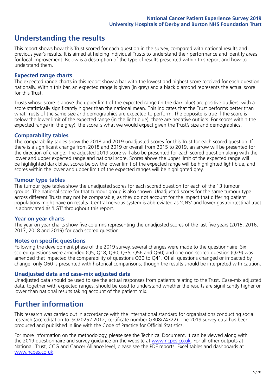### **Understanding the results**

This report shows how this Trust scored for each question in the survey, compared with national results and previous year's results. It is aimed at helping individual Trusts to understand their performance and identify areas for local improvement. Below is a description of the type of results presented within this report and how to understand them.

### **Expected range charts**

The expected range charts in this report show a bar with the lowest and highest score received for each question nationally. Within this bar, an expected range is given (in grey) and a black diamond represents the actual score for this Trust.

Trusts whose score is above the upper limit of the expected range (in the dark blue) are positive outliers, with a score statistically significantly higher than the national mean. This indicates that the Trust performs better than what Trusts of the same size and demographics are expected to perform. The opposite is true if the score is below the lower limit of the expected range (in the light blue); these are negative outliers. For scores within the expected range (in the grey), the score is what we would expect given the Trust's size and demographics.

### **Comparability tables**

The comparability tables show the 2018 and 2019 unadjusted scores for this Trust for each scored question. If there is a significant change from 2018 and 2019 or overall from 2015 to 2019, an arrow will be presented for the direction of change. The adjusted 2019 score will also be presented for each scored question along with the lower and upper expected range and national score. Scores above the upper limit of the expected range will be highlighted dark blue, scores below the lower limit of the expected range will be highlighted light blue, and scores within the lower and upper limit of the expected ranges will be highlighted grey.

### **Tumour type tables**

The tumour type tables show the unadjusted scores for each scored question for each of the 13 tumour groups. The national score for that tumour group is also shown. Unadjusted scores for the same tumour type across different Trusts may not be comparable, as they do not account for the impact that differing patient populations might have on results. Central nervous system is abbreviated as 'CNS' and lower gastrointestinal tract is abbreviated as 'LGT' throughout this report.

#### **Year on year charts**

The year on year charts show five columns representing the unadjusted scores of the last five years (2015, 2016, 2017, 2018 and 2019) for each scored question.

#### **Notes on specific questions**

Following the development phase of the 2019 survey, several changes were made to the questionnaire. Six scored questions were amended (Q5, Q18, Q30, Q35, Q56 and Q60) and one non-scored question (Q29) was amended that impacted the comparability of questions Q30 to Q41. Of all questions changed or impacted by change, only Q60 is presented with historical comparisons; though the results should be interpreted with caution.

#### **Unadjusted data and case-mix adjusted data**

Unadjusted data should be used to see the actual responses from patients relating to the Trust. Case-mix adjusted data, together with expected ranges, should be used to understand whether the results are significantly higher or lower than national results taking account of the patient mix.

### **Further information**

This research was carried out in accordance with the international standard for organisations conducting social research (accreditation to ISO20252:2012; certificate number GB08/74322). The 2019 survey data has been produced and published in line with the Code of Practice for Official Statistics.

For more information on the methodology, please see the Technical Document. It can be viewed along with the 2019 questionnaire and survey quidance on the website at [www.ncpes.co.uk](https://www.ncpes.co.uk/supporting-documents). For all other outputs at National, Trust, CCG and Cancer Alliance level, please see the PDF reports, Excel tables and dashboards at [www.ncpes.co.uk.](https://www.ncpes.co.uk/current-results)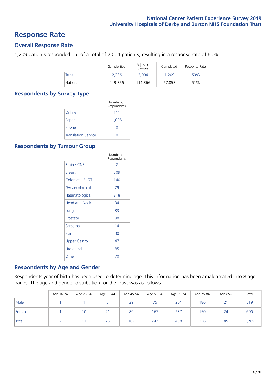### **Response Rate**

### **Overall Response Rate**

1,209 patients responded out of a total of 2,004 patients, resulting in a response rate of 60%.

|          | Sample Size | Adjusted<br>Sample | Completed | Response Rate |
|----------|-------------|--------------------|-----------|---------------|
| Trust    | 2.236       | 2.004              | 1.209     | 60%           |
| National | 119,855     | 111,366            | 67.858    | 61%           |

### **Respondents by Survey Type**

|                            | Number of<br>Respondents |
|----------------------------|--------------------------|
| Online                     | 111                      |
| Paper                      | 1,098                    |
| Phone                      | O                        |
| <b>Translation Service</b> |                          |

### **Respondents by Tumour Group**

|                      | Number of<br>Respondents |
|----------------------|--------------------------|
| Brain / CNS          | $\mathcal{P}$            |
| <b>Breast</b>        | 309                      |
| Colorectal / LGT     | 140                      |
| Gynaecological       | 79                       |
| Haematological       | 218                      |
| <b>Head and Neck</b> | 34                       |
| Lung                 | 83                       |
| Prostate             | 98                       |
| Sarcoma              | 14                       |
| Skin                 | 30                       |
| <b>Upper Gastro</b>  | 47                       |
| Urological           | 85                       |
| Other                | 70                       |

### **Respondents by Age and Gender**

Respondents year of birth has been used to determine age. This information has been amalgamated into 8 age bands. The age and gender distribution for the Trust was as follows:

|        | Age 16-24 | Age 25-34 | Age 35-44 | Age 45-54 | Age 55-64 | Age 65-74 | Age 75-84 | Age 85+        | Total |
|--------|-----------|-----------|-----------|-----------|-----------|-----------|-----------|----------------|-------|
| Male   |           |           |           | 29        | 75        | 201       | 186       | 21<br><u>_</u> | 519   |
| Female |           | 10        | 21        | 80        | 167       | 237       | 150       | 24             | 690   |
| Total  |           |           | 26        | 109       | 242       | 438       | 336       | 45             | ,209  |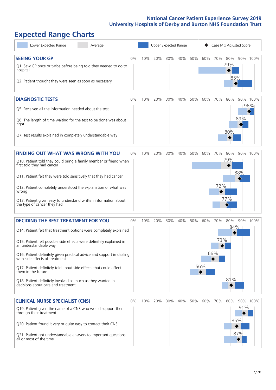# **Expected Range Charts**

| Lower Expected Range<br>Average                                                                                                                                                                                                                                                                                                                                                                                                                                                                                             |       |     |     | Upper Expected Range |         |     |            |                   | Case Mix Adjusted Score |                   |                 |
|-----------------------------------------------------------------------------------------------------------------------------------------------------------------------------------------------------------------------------------------------------------------------------------------------------------------------------------------------------------------------------------------------------------------------------------------------------------------------------------------------------------------------------|-------|-----|-----|----------------------|---------|-----|------------|-------------------|-------------------------|-------------------|-----------------|
| <b>SEEING YOUR GP</b><br>Q1. Saw GP once or twice before being told they needed to go to<br>hospital<br>Q2. Patient thought they were seen as soon as necessary                                                                                                                                                                                                                                                                                                                                                             | 0%    | 10% | 20% |                      | 30% 40% | 50% | 60%        | 70%               | 80%<br>79%<br>85%       |                   | 90% 100%        |
| <b>DIAGNOSTIC TESTS</b><br>Q5. Received all the information needed about the test<br>Q6. The length of time waiting for the test to be done was about<br>right<br>Q7. Test results explained in completely understandable way                                                                                                                                                                                                                                                                                               | 0%    | 10% | 20% | 30%                  | 40%     | 50% | 60%        | 70%               | 80%<br>80%              | 89%               | 90% 100%<br>96% |
| <b>FINDING OUT WHAT WAS WRONG WITH YOU</b><br>Q10. Patient told they could bring a family member or friend when<br>first told they had cancer<br>Q11. Patient felt they were told sensitively that they had cancer<br>Q12. Patient completely understood the explanation of what was<br>wrong<br>Q13. Patient given easy to understand written information about<br>the type of cancer they had                                                                                                                             | $0\%$ | 10% | 20% | 30%                  | 40%     | 50% | 60%        | 70%<br>72%        | 80%<br>79%<br>77%       | 88%               | 90% 100%        |
| <b>DECIDING THE BEST TREATMENT FOR YOU</b><br>Q14. Patient felt that treatment options were completely explained<br>Q15. Patient felt possible side effects were definitely explained in<br>an understandable way<br>Q16. Patient definitely given practical advice and support in dealing<br>with side effects of treatment<br>Q17. Patient definitely told about side effects that could affect<br>them in the future<br>Q18. Patient definitely involved as much as they wanted in<br>decisions about care and treatment | 0%    | 10% | 20% | 30%                  | 40%     | 50% | 60%<br>56% | 70%<br>73%<br>66% | 80%<br>84%<br>81%       |                   | 90% 100%        |
| <b>CLINICAL NURSE SPECIALIST (CNS)</b><br>Q19. Patient given the name of a CNS who would support them<br>through their treatment<br>Q20. Patient found it very or quite easy to contact their CNS<br>Q21. Patient got understandable answers to important questions<br>all or most of the time                                                                                                                                                                                                                              | 0%    | 10% | 20% | 30%                  | 40%     | 50% | 60%        | 70%               | 80%                     | 91%<br>85%<br>87% | 90% 100%        |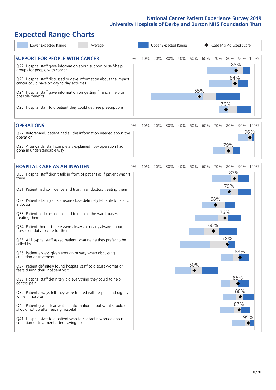# **Expected Range Charts**

| Lower Expected Range<br>Average                                                                                                                                                                                                                                                                                                                                                                                                                                                                                                                                                                                                                                                                                                                                                                                                                                                                                                                                                                                                                                                                                                                                                   |    | Upper Expected Range |     |     |     |            |            |                   | Case Mix Adjusted Score                |                          |                 |  |
|-----------------------------------------------------------------------------------------------------------------------------------------------------------------------------------------------------------------------------------------------------------------------------------------------------------------------------------------------------------------------------------------------------------------------------------------------------------------------------------------------------------------------------------------------------------------------------------------------------------------------------------------------------------------------------------------------------------------------------------------------------------------------------------------------------------------------------------------------------------------------------------------------------------------------------------------------------------------------------------------------------------------------------------------------------------------------------------------------------------------------------------------------------------------------------------|----|----------------------|-----|-----|-----|------------|------------|-------------------|----------------------------------------|--------------------------|-----------------|--|
| <b>SUPPORT FOR PEOPLE WITH CANCER</b><br>Q22. Hospital staff gave information about support or self-help<br>groups for people with cancer<br>Q23. Hospital staff discussed or gave information about the impact<br>cancer could have on day to day activities<br>Q24. Hospital staff gave information on getting financial help or<br>possible benefits<br>Q25. Hospital staff told patient they could get free prescriptions                                                                                                                                                                                                                                                                                                                                                                                                                                                                                                                                                                                                                                                                                                                                                     | 0% | 10%                  | 20% | 30% | 40% | 50%        | 60%<br>55% | 70%               | 80%<br>85%<br>84%<br>76%               |                          | 90% 100%        |  |
| <b>OPERATIONS</b><br>Q27. Beforehand, patient had all the information needed about the<br>operation<br>Q28. Afterwards, staff completely explained how operation had<br>gone in understandable way                                                                                                                                                                                                                                                                                                                                                                                                                                                                                                                                                                                                                                                                                                                                                                                                                                                                                                                                                                                | 0% | 10%                  | 20% | 30% | 40% | 50%        | 60%        | 70%               | 80%<br>79%                             |                          | 90% 100%<br>96% |  |
| <b>HOSPITAL CARE AS AN INPATIENT</b><br>Q30. Hospital staff didn't talk in front of patient as if patient wasn't<br>there<br>Q31. Patient had confidence and trust in all doctors treating them<br>Q32. Patient's family or someone close definitely felt able to talk to<br>a doctor<br>Q33. Patient had confidence and trust in all the ward nurses<br>treating them<br>Q34. Patient thought there were always or nearly always enough<br>nurses on duty to care for them<br>Q35. All hospital staff asked patient what name they prefer to be<br>called by<br>Q36. Patient always given enough privacy when discussing<br>condition or treatment<br>Q37. Patient definitely found hospital staff to discuss worries or<br>fears during their inpatient visit<br>Q38. Hospital staff definitely did everything they could to help<br>control pain<br>Q39. Patient always felt they were treated with respect and dignity<br>while in hospital<br>Q40. Patient given clear written information about what should or<br>should not do after leaving hospital<br>Q41. Hospital staff told patient who to contact if worried about<br>condition or treatment after leaving hospital | 0% | 10%                  | 20% | 30% | 40% | 50%<br>50% | 60%        | 70%<br>68%<br>66% | 80%<br>83%<br>79%<br>76%<br>78%<br>86% | 88%<br>88%<br>87%<br>95% | 90% 100%        |  |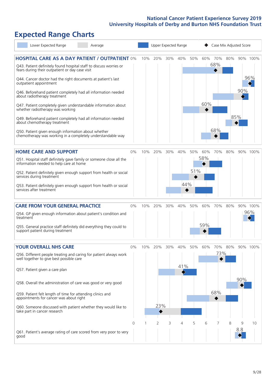# **Expected Range Charts**

| Lower Expected Range<br>Average                                                                                                                                                                                                                                                                                                                                                                                                                             |             |     |                |     | Upper Expected Range |            |            | Case Mix Adjusted Score |     |          |                 |  |  |
|-------------------------------------------------------------------------------------------------------------------------------------------------------------------------------------------------------------------------------------------------------------------------------------------------------------------------------------------------------------------------------------------------------------------------------------------------------------|-------------|-----|----------------|-----|----------------------|------------|------------|-------------------------|-----|----------|-----------------|--|--|
| <b>HOSPITAL CARE AS A DAY PATIENT / OUTPATIENT 0%</b><br>Q43. Patient definitely found hospital staff to discuss worries or<br>fears during their outpatient or day case visit<br>Q44. Cancer doctor had the right documents at patient's last<br>outpatient appointment                                                                                                                                                                                    |             | 10% | 20%            | 30% | 40%                  | 50%        | 60%        | 70%<br>68%              | 80% |          | 90% 100%<br>96% |  |  |
| Q46. Beforehand patient completely had all information needed<br>about radiotherapy treatment<br>Q47. Patient completely given understandable information about<br>whether radiotherapy was working<br>Q49. Beforehand patient completely had all information needed<br>about chemotherapy treatment<br>Q50. Patient given enough information about whether<br>chemotherapy was working in a completely understandable way                                  |             |     |                |     |                      |            | 60%        | 68%                     | 85% | 90%      |                 |  |  |
| <b>HOME CARE AND SUPPORT</b><br>Q51. Hospital staff definitely gave family or someone close all the<br>information needed to help care at home<br>Q52. Patient definitely given enough support from health or social<br>services during treatment<br>Q53. Patient definitely given enough support from health or social<br>services after treatment                                                                                                         | 0%          | 10% | 20%            | 30% | 40%<br>44%           | 50%<br>51% | 60%<br>58% | 70%                     | 80% |          | 90% 100%        |  |  |
| <b>CARE FROM YOUR GENERAL PRACTICE</b><br>Q54. GP given enough information about patient's condition and<br>treatment<br>Q55. General practice staff definitely did everything they could to<br>support patient during treatment                                                                                                                                                                                                                            | 0%          | 10% | 20%            | 30% | 40%                  | 50%        | 60%<br>59% | 70%                     | 80% |          | 90% 100%<br>96% |  |  |
| <b>YOUR OVERALL NHS CARE</b><br>Q56. Different people treating and caring for patient always work<br>well together to give best possible care<br>Q57. Patient given a care plan<br>Q58. Overall the administration of care was good or very good<br>Q59. Patient felt length of time for attending clinics and<br>appointments for cancer was about right<br>Q60. Someone discussed with patient whether they would like to<br>take part in cancer research | $0\%$       | 10% | 20%<br>23%     | 30% | 40%<br>41%           | 50%        | 60%        | 70%<br>73%  <br>68%     | 80% | 90%      | 90% 100%        |  |  |
| Q61. Patient's average rating of care scored from very poor to very<br>good                                                                                                                                                                                                                                                                                                                                                                                 | $\mathbf 0$ | 1   | $\overline{2}$ | 3   | 4                    | 5          | 6          | 7                       | 8   | 9<br>8.8 | 10              |  |  |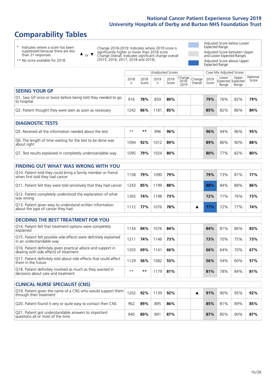# **Comparability Tables**

\* Indicates where a score has been suppressed because there are less than 21 responses.

\*\* No score available for 2018.

 $\triangle$  or  $\nabla$ 

Change 2018-2019: Indicates where 2019 score is significantly higher or lower than 2018 score Change Overall: Indicates significant change overall (2015, 2016, 2017, 2018 and 2019).

Adjusted Score below Lower Expected Range Adjusted Score between Upper and Lower Expected Ranges Adjusted Score above Upper Expected Range

|                                                                             | Case Mix Adjusted Scores<br><b>Unadjusted Scores</b> |               |           |               |                                                   |         |               |                                     |                |                   |
|-----------------------------------------------------------------------------|------------------------------------------------------|---------------|-----------|---------------|---------------------------------------------------|---------|---------------|-------------------------------------|----------------|-------------------|
|                                                                             | 2018<br>n                                            | 2018<br>Score | 2019<br>n | 2019<br>Score | $\sim$  Change   Change   $\sim$<br>2018-<br>2019 | Overall | 2019<br>Score | Lower<br>Expected Expected<br>Range | Upper<br>Range | National<br>Score |
| <b>SEEING YOUR GP</b>                                                       |                                                      |               |           |               |                                                   |         |               |                                     |                |                   |
| Q1. Saw GP once or twice before being told they needed to go<br>to hospital | 916                                                  | 78%           | 859       | 80%           |                                                   |         | 79%           | 76%                                 | 82%            | 79%               |
| Q2. Patient thought they were seen as soon as necessary                     | 1242                                                 | 86%           | 181       | 85%           |                                                   |         | 85%           | 82%                                 | 86%            | 84%               |

| <b>DIAGNOSTIC TESTS</b>                                                   |       |     |      |     |     |     |     |     |
|---------------------------------------------------------------------------|-------|-----|------|-----|-----|-----|-----|-----|
| Q5. Received all the information needed about the test                    | $***$ | **  | 996  | 96% | 96% | 94% | 96% | 95% |
| Q6. The length of time waiting for the test to be done was<br>about right | 1094  | 92% | 1012 | 89% | 89% | 86% | 90% | 88% |
| Q7. Test results explained in completely understandable way               | 1095  | 79% | 1024 | 80% | 80% | 77% | 82% | 80% |

| <b>FINDING OUT WHAT WAS WRONG WITH YOU</b>                                                      |      |     |      |     |  |     |     |     |     |
|-------------------------------------------------------------------------------------------------|------|-----|------|-----|--|-----|-----|-----|-----|
| Q10. Patient told they could bring a family member or friend<br>when first told they had cancer | 158  | 79% | 1090 | 79% |  | 79% | 73% | 81% | 77% |
| Q11. Patient felt they were told sensitively that they had cancer                               | 1243 | 85% | 199  | 88% |  | 88% | 84% | 88% | 86% |
| Q12. Patient completely understood the explanation of what<br>was wrong                         | 265  | 74% | 198  | 73% |  | 72% | 71% | 76% | 73% |
| Q13. Patient given easy to understand written information<br>about the type of cancer they had  | 112  | 77% | 1076 | 78% |  |     | 72% | 77% | 74% |

| <b>DECIDING THE BEST TREATMENT FOR YOU</b>                                                              |      |     |      |     |  |     |     |     |     |
|---------------------------------------------------------------------------------------------------------|------|-----|------|-----|--|-----|-----|-----|-----|
| Q14. Patient felt that treatment options were completely<br>explained                                   | 1134 | 84% | 1076 | 84% |  | 84% | 81% | 86% | 83% |
| Q15. Patient felt possible side effects were definitely explained<br>in an understandable way           | 1211 | 74% | 146  | 73% |  | 73% | 70% | 75% | 73% |
| Q16. Patient definitely given practical advice and support in<br>dealing with side effects of treatment | 1203 | 69% | 1141 | 66% |  | 66% | 64% | 70% | 67% |
| Q17. Patient definitely told about side effects that could affect<br>them in the future                 | 1129 | 56% | 1082 | 55% |  | 56% | 54% | 60% | 57% |
| Q18. Patient definitely involved as much as they wanted in<br>decisions about care and treatment        | $**$ | **  | 179  | 81% |  | 81% | 78% | 84% | 81% |

| <b>CLINICAL NURSE SPECIALIST (CNS)</b>                                                                                      |     |     |      |     |  |     |     |     |     |
|-----------------------------------------------------------------------------------------------------------------------------|-----|-----|------|-----|--|-----|-----|-----|-----|
| $\sqrt{Q}$ 19. Patient given the name of a CNS who would support them $\sqrt{Q}$ 1202 $\sqrt{Q}$<br>through their treatment |     |     | 1139 | 92% |  | 91% | 90% | 95% | 92% |
| Q20. Patient found it very or quite easy to contact their CNS                                                               | 962 | 89% | 895  | 86% |  | 85% | 81% | 89% | 85% |
| Q21. Patient got understandable answers to important<br>questions all or most of the time                                   | 940 | 89% | 891  | 87% |  | 87% | 85% | 90% | 87% |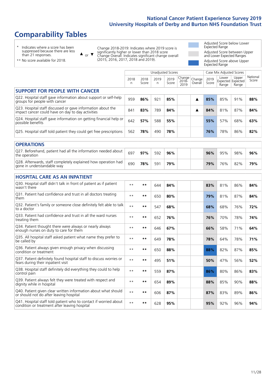# **Comparability Tables**

\* Indicates where a score has been suppressed because there are less than 21 responses.

\*\* No score available for 2018.

 $\triangle$  or  $\nabla$ 

Change 2018-2019: Indicates where 2019 score is significantly higher or lower than 2018 score Change Overall: Indicates significant change overall (2015, 2016, 2017, 2018 and 2019).

Adjusted Score below Lower Expected Range Adjusted Score between Upper and Lower Expected Ranges Adjusted Score above Upper Expected Range

|                                                                                                                   |           |               | <b>Unadjusted Scores</b> |               |                         |                   |               | Case Mix Adjusted Scores |                                     |                   |
|-------------------------------------------------------------------------------------------------------------------|-----------|---------------|--------------------------|---------------|-------------------------|-------------------|---------------|--------------------------|-------------------------------------|-------------------|
|                                                                                                                   | 2018<br>n | 2018<br>Score | 2019<br>n                | 2019<br>Score | Change<br>2018-<br>2019 | Change<br>Overall | 2019<br>Score | Lower<br>Range           | Upper<br>Expected Expected<br>Range | National<br>Score |
| <b>SUPPORT FOR PEOPLE WITH CANCER</b>                                                                             |           |               |                          |               |                         |                   |               |                          |                                     |                   |
| Q22. Hospital staff gave information about support or self-help<br>groups for people with cancer                  | 959       | 86%           | 921                      | 85%           |                         | ▲                 | 85%           | 85%                      | 91%                                 | 88%               |
| Q23. Hospital staff discussed or gave information about the<br>impact cancer could have on day to day activities  | 841       | 83%           | 789                      | 84%           |                         | ▲                 | 84%           | 81%                      | 87%                                 | 84%               |
| Q24. Hospital staff gave information on getting financial help or<br>possible benefits                            | 642       | 57%           | 588                      | 55%           |                         |                   | 55%           | 57%                      | 68%                                 | 63%               |
| Q25. Hospital staff told patient they could get free prescriptions                                                | 562       | 78%           | 490                      | 78%           |                         |                   | 76%           | 78%                      | 86%                                 | 82%               |
| <b>OPERATIONS</b>                                                                                                 |           |               |                          |               |                         |                   |               |                          |                                     |                   |
| Q27. Beforehand, patient had all the information needed about<br>the operation                                    | 697       | 97%           | 592                      | 96%           |                         |                   | 96%           | 95%                      | 98%                                 | 96%               |
| Q28. Afterwards, staff completely explained how operation had<br>gone in understandable way                       | 690       | 78%           | 591                      | 79%           |                         |                   | 79%           | 76%                      | 82%                                 | 79%               |
| <b>HOSPITAL CARE AS AN INPATIENT</b>                                                                              |           |               |                          |               |                         |                   |               |                          |                                     |                   |
| Q30. Hospital staff didn't talk in front of patient as if patient<br>wasn't there                                 | $* *$     | $***$         | 644                      | 84%           |                         |                   | 83%           | 81%                      | 86%                                 | 84%               |
| Q31. Patient had confidence and trust in all doctors treating<br>them                                             | $***$     | $***$         | 650                      | 80%           |                         |                   | 79%           | 81%                      | 87%                                 | 84%               |
| Q32. Patient's family or someone close definitely felt able to talk<br>to a doctor                                | $* *$     | $***$         | 547                      | 68%           |                         |                   | 68%           | 68%                      | 76%                                 | 72%               |
| Q33. Patient had confidence and trust in all the ward nurses<br>treating them                                     | $**$      | $***$         | 652                      | 76%           |                         |                   | 76%           | 70%                      | 78%                                 | 74%               |
| Q34. Patient thought there were always or nearly always<br>enough nurses on duty to care for them                 | $* *$     | $***$         | 646                      | 67%           |                         |                   | 66%           | 58%                      | 71%                                 | 64%               |
| Q35. All hospital staff asked patient what name they prefer to<br>be called by                                    | $**$      | $***$         | 649                      | 78%           |                         |                   | 78%           | 64%                      | 78%                                 | 71%               |
| Q36. Patient always given enough privacy when discussing<br>condition or treatment                                | $* *$     | $***$         | 650                      | 88%           |                         |                   | 88%           | 82%                      | 87%                                 | 85%               |
| Q37. Patient definitely found hospital staff to discuss worries or<br>fears during their inpatient visit          | $**$      | $***$         | 495                      | 51%           |                         |                   | 50%           | 47%                      | 56%                                 | 52%               |
| Q38. Hospital staff definitely did everything they could to help<br>control pain                                  | $* *$     | $***$         | 559                      | 87%           |                         |                   | 86%           | 80%                      | 86%                                 | 83%               |
| Q39. Patient always felt they were treated with respect and<br>dignity while in hospital                          | $***$     | $***$         | 654                      | 89%           |                         |                   | 88%           | 85%                      | 90%                                 | 88%               |
| Q40. Patient given clear written information about what should<br>or should not do after leaving hospital         | $* *$     | $***$         | 606                      | 87%           |                         |                   | 87%           | 83%                      | 89%                                 | 86%               |
| Q41. Hospital staff told patient who to contact if worried about<br>condition or treatment after leaving hospital | $**$      | $***$         | 628                      | 95%           |                         |                   | 95%           | 92%                      | 96%                                 | 94%               |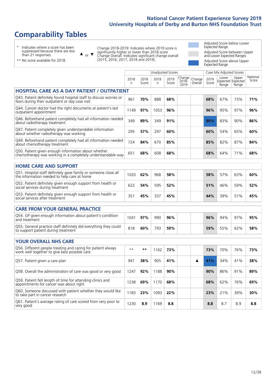### **Comparability Tables**

\* Indicates where a score has been suppressed because there are less than 21 responses.

\*\* No score available for 2018.

 $\triangle$  or  $\nabla$ 

Change 2018-2019: Indicates where 2019 score is significantly higher or lower than 2018 score Change Overall: Indicates significant change overall (2015, 2016, 2017, 2018 and 2019).

Adjusted Score below Lower Expected Range Adjusted Score between Upper and Lower Expected Ranges Adjusted Score above Upper Expected Range

|                                                                                                                       |            |               | <b>Unadjusted Scores</b> |               |                            |                   |               | Case Mix Adjusted Scores            |                |                   |
|-----------------------------------------------------------------------------------------------------------------------|------------|---------------|--------------------------|---------------|----------------------------|-------------------|---------------|-------------------------------------|----------------|-------------------|
|                                                                                                                       | 2018<br>n. | 2018<br>Score | 2019<br>n                | 2019<br>Score | Change<br>$2018 -$<br>2019 | Change<br>Overall | 2019<br>Score | Lower<br>Expected Expected<br>Range | Upper<br>Range | National<br>Score |
| <b>HOSPITAL CARE AS A DAY PATIENT / OUTPATIENT</b>                                                                    |            |               |                          |               |                            |                   |               |                                     |                |                   |
| Q43. Patient definitely found hospital staff to discuss worries or<br>fears during their outpatient or day case visit | 961        | 70%           | 888                      | 68%           |                            |                   | 68%           | 67%                                 | 73%            | 71%               |
| Q44. Cancer doctor had the right documents at patient's last<br>outpatient appointment                                | 1149       | 97%           | 1053                     | 96%           |                            |                   | 96%           | 95%                                 | 97%            | 96%               |
| Q46. Beforehand patient completely had all information needed<br>about radiotherapy treatment                         | 349        | 89%           | 349                      | 91%           |                            |                   | 90%           | 83%                                 | 90%            | 86%               |
| Q47. Patient completely given understandable information<br>about whether radiotherapy was working                    | 295        | 57%           | 297                      | 60%           |                            |                   | 60%           | 54%                                 | 65%            | 60%               |
| Q49. Beforehand patient completely had all information needed<br>about chemotherapy treatment                         | 724        | 84%           | 670                      | 85%           |                            |                   | 85%           | 82%                                 | 87%            | 84%               |
| Q50. Patient given enough information about whether<br>chemotherapy was working in a completely understandable way    | 651        | 68%           | 608                      | 68%           |                            |                   | 68%           | 64%                                 | 71%            | 68%               |
| <b>HOME CARE AND SUPPORT</b>                                                                                          |            |               |                          |               |                            |                   |               |                                     |                |                   |
| Q51. Hospital staff definitely gave family or someone close all<br>the information needed to help care at home        | 1020       | 62%           | 968                      | 58%           |                            |                   | 58%           | 57%                                 | 63%            | 60%               |
| Q52. Patient definitely given enough support from health or<br>social services during treatment                       | 622        | 54%           | 595                      | 52%           |                            |                   | 51%           | 46%                                 | 59%            | 52%               |
| Q53. Patient definitely given enough support from health or<br>social services after treatment                        | 351        | 45%           | 337                      | 45%           |                            |                   | 44%           | 39%                                 | 51%            | 45%               |
| <b>CARE FROM YOUR GENERAL PRACTICE</b>                                                                                |            |               |                          |               |                            |                   |               |                                     |                |                   |
| Q54. GP given enough information about patient's condition<br>and treatment                                           | 1041       | 97%           | 990                      | 96%           |                            |                   | 96%           | 94%                                 | 97%            | 95%               |
| Q55. General practice staff definitely did everything they could<br>to support patient during treatment               | 818        | 60%           | 793                      | 59%           |                            |                   | 59%           | 55%                                 | 62%            | 58%               |
| <b>YOUR OVERALL NHS CARE</b>                                                                                          |            |               |                          |               |                            |                   |               |                                     |                |                   |
| Q56. Different people treating and caring for patient always<br>work well together to give best possible care         | $* *$      | $***$         | 1162                     | 73%           |                            |                   | 73%           | 70%                                 | 76%            | 73%               |
| Q57. Patient given a care plan                                                                                        | 941        | 38%           | 905                      | 41%           |                            | ▲                 | 41%           | 34%                                 | 41%            | 38%               |
| Q58. Overall the administration of care was good or very good                                                         | 1247       | 92%           | 1188                     | 90%           |                            |                   | 90%           | 86%                                 | 91%            | 89%               |
| Q59. Patient felt length of time for attending clinics and<br>appointments for cancer was about right                 | 1238       | 69%           | 1170                     | 68%           |                            |                   | 68%           | 62%                                 | 76%            | 69%               |
| Q60. Someone discussed with patient whether they would like<br>to take part in cancer research                        | 1183       | 23%           | 1093                     | 22%           |                            |                   | 23%           | 21%                                 | 39%            | 30%               |
| Q61. Patient's average rating of care scored from very poor to<br>very good                                           | 1230       | 8.9           | 1169                     | 8.8           |                            |                   | 8.8           | 8.7                                 | 8.9            | 8.8               |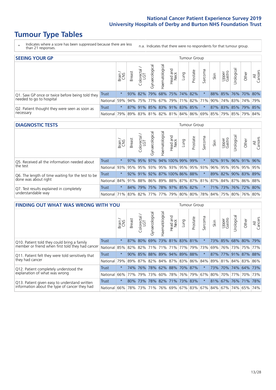# **Tumour Type Tables**

- \* Indicates where a score has been suppressed because there are less than 21 responses.
- n.a. Indicates that there were no respondents for that tumour group.

| <b>SEEING YOUR GP</b>                           |            |         |               |                             |                |                |                  |             | Tumour Group        |         |      |                 |                                                         |       |                |
|-------------------------------------------------|------------|---------|---------------|-----------------------------|----------------|----------------|------------------|-------------|---------------------|---------|------|-----------------|---------------------------------------------------------|-------|----------------|
|                                                 |            | Brain   | <b>Breast</b> | Colorectal<br>LGT           | Gynaecological | Haematological | Head and<br>Neck | <b>Dung</b> | Prostate            | Sarcoma | Skin | Upper<br>Gastro | Urological                                              | Other | All<br>Cancers |
| Q1. Saw GP once or twice before being told they | Trust      | $\star$ |               | $93\%$ 82%                  |                |                |                  |             | 79% 68% 75% 74% 82% |         |      |                 | 88% 85% 76% 70% 80%                                     |       |                |
| needed to go to hospital                        | National   | 59%     |               | 94% 75% 77%                 |                |                |                  |             |                     |         |      |                 | 67% 79% 71% 82% 71% 90% 74% 83% 74% 79%                 |       |                |
| Q2. Patient thought they were seen as soon as   | Trust      | $\star$ |               | 87% 91% 85% 83% 91% 83% 85% |                |                |                  |             |                     | $\star$ |      |                 | 87% 83% 85% 79% 85%                                     |       |                |
| necessary                                       | National I |         |               |                             |                |                |                  |             |                     |         |      |                 | 79% 89% 83% 81% 82% 81% 84% 86% 69% 85% 79% 85% 79% 84% |       |                |

#### **DIAGNOSTIC TESTS** Tumour Group

|                                                   |                                                                  | Brain   | <b>Breast</b> | Colorectal<br>LGT | $\overline{\sigma}$<br>Gynaecologic | Haematological | Head and<br>Neck | Lung | Prostate                | Sarcoma | Skin | Upper<br>Gastro | Irological          | Other | All<br>Cancers |
|---------------------------------------------------|------------------------------------------------------------------|---------|---------------|-------------------|-------------------------------------|----------------|------------------|------|-------------------------|---------|------|-----------------|---------------------|-------|----------------|
| Q5. Received all the information needed about     | <b>Trust</b>                                                     | $\star$ |               | 97% 95%           |                                     |                | 97% 94% 100% 99% |      | 99%                     |         |      |                 | 92% 91% 96% 91% 96% |       |                |
| the test                                          | National                                                         | 93%     | 95%           | 95%               |                                     |                |                  |      | 93% 95% 93% 95% 95% 93% |         | 96%  |                 | 95% 95% 95% 95%     |       |                |
| Q6. The length of time waiting for the test to be | Trust                                                            | $\star$ |               | $92\%$ 91%        |                                     |                |                  |      | 92% 87% 100% 86% 88%    |         | 89%  |                 | 82% 90% 83% 89%     |       |                |
| done was about right                              | National 84% 91% 88% 86% 89% 88% 87% 87% 81% 87% 84% 87% 86% 88% |         |               |                   |                                     |                |                  |      |                         |         |      |                 |                     |       |                |
| Q7. Test results explained in completely          | Trust                                                            | $\star$ | 84%           | 79%               |                                     |                |                  |      | 75% 78% 97% 85% 82%     | $\star$ |      |                 | 71% 73% 76% 72% 80% |       |                |
| understandable way                                | National 71% 83% 82% 77% 77% 79% 80% 80% 78% 84% 75% 80% 76% 80% |         |               |                   |                                     |                |                  |      |                         |         |      |                 |                     |       |                |

| <b>FINDING OUT WHAT WAS WRONG WITH YOU</b>        |              |         |               |                       |                |                                 |                  |                 | <b>Tumour Group</b> |         |      |                 |                     |             |                |
|---------------------------------------------------|--------------|---------|---------------|-----------------------|----------------|---------------------------------|------------------|-----------------|---------------------|---------|------|-----------------|---------------------|-------------|----------------|
|                                                   |              | Brain   | <b>Breast</b> | olorectal<br>LGT<br>Ū | Gynaecological | Haematologica                   | Head and<br>Neck | Lung            | Prostate            | Sarcoma | Skin | Upper<br>Gastro | Jrological          | Other       | All<br>Cancers |
| Q10. Patient told they could bring a family       | <b>Trust</b> | $\star$ | 87%           | 80%                   |                | 69% 73% 81% 83% 81%             |                  |                 |                     | $\star$ |      | 73% 85%         | 68% 80%             |             | 79%            |
| member or friend when first told they had cancer  | National     | 85%     | 82%           | 82%                   |                | 71% 71%                         | 71%              | 77%             | 79%                 | 73%     | 69%  |                 | 76% 73%             | 75%         | 77%            |
| Q11. Patient felt they were told sensitively that | Trust        | $\star$ | 90%           | 85%                   |                | 88% 89% 94% 89%                 |                  |                 | 88%                 | $\ast$  | 87%  | 77%             |                     | 91% 87% 88% |                |
| they had cancer                                   | National     | 79%     |               |                       |                | 89% 87% 82% 84% 87% 83% 86% 84% |                  |                 |                     |         |      |                 | 89% 81% 84% 83% 86% |             |                |
| Q12. Patient completely understood the            | Trust        | $\star$ | 74%           | 76%                   |                | 78% 62% 88% 70% 87%             |                  |                 |                     |         | 73%  |                 | 70% 74% 64% 73%     |             |                |
| explanation of what was wrong                     | National     | 66%     | 77%           | 79%                   |                | 73% 60%                         |                  | 78%   76%   79% |                     | 67%     | 80%  |                 | 70% 77%             | 70% 73%     |                |
| Q13. Patient given easy to understand written     | Trust        | $\star$ | 80%           | 73%                   |                | 78% 82% 71% 73% 83%             |                  |                 |                     | $\star$ |      |                 | 81% 67% 76% 71%     |             | 78%            |
| information about the type of cancer they had     | National     | 66%     | 78%           | 73%                   |                | 71% 76% 69% 67% 83%             |                  |                 |                     | 67%     |      |                 | 84%   67%   74%     | 65%         | 74%            |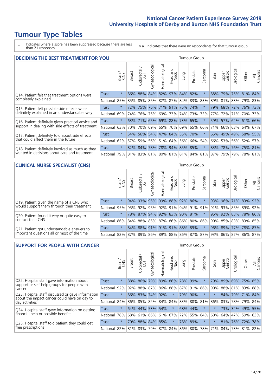# **Tumour Type Tables**

- \* Indicates where a score has been suppressed because there are less than 21 responses.
- n.a. Indicates that there were no respondents for that tumour group.

| <b>DECIDING THE BEST TREATMENT FOR YOU</b>         |              |         |               |                       |                |                |                        |                     | <b>Tumour Group</b> |                                             |      |                 |            |                 |                |
|----------------------------------------------------|--------------|---------|---------------|-----------------------|----------------|----------------|------------------------|---------------------|---------------------|---------------------------------------------|------|-----------------|------------|-----------------|----------------|
|                                                    |              | Brain   | <b>Breast</b> | olorectal<br>LGT<br>Ũ | Gynaecological | Haematological | ad and<br>Neck<br>Head | Lung                | Prostate            | arcoma<br>vĀ                                | Skin | Upper<br>Gastro | Jrological | Other           | All<br>Cancers |
| Q14. Patient felt that treatment options were      | <b>Trust</b> | $\star$ | 86%           | 88%                   | 84%            |                |                        | 82% 97% 84%         | 82%                 | $\star$                                     | 88%  | 79%             |            | 75% 81%         | 84%            |
| completely explained                               | National     | 85%     | 85%           | 85%                   |                |                |                        | 85% 82% 87% 84% 83% |                     | 83%                                         | 89%  |                 |            | 81% 83% 79% 83% |                |
| Q15. Patient felt possible side effects were       | Trust        | $\star$ | 72%           | 75%                   |                |                |                        | 76% 71% 91% 75% 74% |                     |                                             | 79%  | 68%             |            | 72% 76% 73%     |                |
| definitely explained in an understandable way      | National     | 69%     | 74%           | 76%                   |                | 75% 69%        | 73%                    |                     | 74% 73%             | 73%                                         | 77%  | 72%             | 71%        | 70% 73%         |                |
| Q16. Patient definitely given practical advice and | Trust        | $\star$ | 63%           | 71%                   |                |                |                        | 65% 69% 88% 73% 65% |                     |                                             | 59%  |                 |            | 57% 62% 61% 66% |                |
| support in dealing with side effects of treatment  | National     | 63%     | 70%           | 70%                   |                | 69% 65%        | 70%                    |                     | 69% 65%             | 66%                                         | 71%  |                 |            | 66% 63% 64% 67% |                |
| Q17. Patient definitely told about side effects    | Trust        | $\star$ | 54%           | 56%                   |                |                |                        | 54% 47% 84% 55% 70% |                     | $^\star$                                    | 65%  |                 |            | 49% 49% 58% 55% |                |
| that could affect them in the future               | National     | 62%     | 57%           | 59%                   |                |                |                        | 56% 51% 64% 56% 66% |                     | 54%                                         | 66%  |                 |            | 53% 56% 52%     | 57%            |
| Q18. Patient definitely involved as much as they   | Trust        | $\star$ |               | 82% 84%               |                |                |                        | 78% 78% 94% 85% 85% |                     | $\ast$                                      | 83%  |                 |            | 78% 76% 75% 81% |                |
| wanted in decisions about care and treatment       | National     |         |               |                       |                |                |                        |                     |                     | 79% 81% 83% 81% 80% 81% 81% 84% 81% 87% 79% |      |                 |            | 79% 78% 81%     |                |

#### **CLINICAL NURSE SPECIALIST (CNS)** Tumour Group

|                                             |              | Brain   | <b>Breast</b> | olorectal<br>LGT<br>Ü | aecologica<br>Š | $\overline{\sigma}$<br>O<br>Haematologi | Head and<br>Neck | Lung | Prostate | Sarcoma | Skin | Upper<br>Gastro | $\sigma$<br>rologica | Other                                                                       | All<br>ancers<br>Ü |
|---------------------------------------------|--------------|---------|---------------|-----------------------|-----------------|-----------------------------------------|------------------|------|----------|---------|------|-----------------|----------------------|-----------------------------------------------------------------------------|--------------------|
| Q19. Patient given the name of a CNS who    | Trust        | $\star$ |               | 94% 93%               | 95%             |                                         | 99% 88% 92% 86%  |      |          |         | 93%  | 96%             |                      | 71% 83% 92%                                                                 |                    |
| would support them through their treatment  | National     |         |               |                       |                 |                                         |                  |      |          |         |      |                 |                      | 95% 95% 92% 95% 92% 91% 94% 91% 91% 91% 92% 85% 89%                         | 92%                |
| Q20. Patient found it very or quite easy to | <b>Trust</b> | $\star$ |               |                       | 78% 87% 94%     |                                         | 92% 83% 90% 81%  |      |          | $\star$ |      |                 |                      | 96% 92% 83% 78% 86%                                                         |                    |
| contact their CNS                           | National     |         |               |                       |                 |                                         |                  |      |          |         |      |                 |                      | 86% 84% 88% 85% 87% 86% 86% 80% 86% 90% 85% 83% 83%                         | 85%                |
| Q21. Patient got understandable answers to  | Trust        | $\star$ |               |                       | 84% 88% 91%     |                                         | 91% 91% 88% 89%  |      |          | $\star$ |      | 96% 89%         |                      | 77% 78%                                                                     | 87%                |
| important questions all or most of the time | National     |         |               |                       |                 |                                         |                  |      |          |         |      |                 |                      | 82%   87%   89%   86%   89%   88%   86%   87%   87%   93%   86%   87%   86% | 87%                |

| <b>SUPPORT FOR PEOPLE WITH CANCER</b>                                                             |              |         |               |            |                |                |                         |         | <b>Tumour Group</b> |                          |         |                 |             |             |                |
|---------------------------------------------------------------------------------------------------|--------------|---------|---------------|------------|----------------|----------------|-------------------------|---------|---------------------|--------------------------|---------|-----------------|-------------|-------------|----------------|
|                                                                                                   |              | Brain   | <b>Breast</b> | Colorectal | Gynaecological | Haematological | ead and<br>Neck<br>Head | Lung    | Prostate            | arcoma<br>$\overline{2}$ | Skin    | Upper<br>Gastro | Jrological  | Other       | All<br>Cancers |
| Q22. Hospital staff gave information about<br>support or self-help groups for people with         | Trust        | $\star$ | 88%           | 86%        | 79%            | 89%            | 86%                     | 78%     | 99%                 | $\star$                  | 79%     | 89%             | 69%         | 75%         | 85%            |
| cancer                                                                                            | National     | 92%     | 92%           | 88%        | 87%            | 86%            | 88%                     | 87% 91% |                     | 86%                      | 90%     |                 | 88% 81%     | 83%         | 88%            |
| Q23. Hospital staff discussed or gave information<br>about the impact cancer could have on day to | <b>Trust</b> | $\star$ | 86%           | 83%        | 74%            | 92%            | $\star$                 | 79%     | 90%                 | $\star$                  | $\star$ | 84%             |             | 79% 71%     | 84%            |
| day activities                                                                                    | National     | 84%     |               | 86% 85%    | 82%            | 84%            | 84%                     | 83%     | 88%                 | 81%                      | 86%     | 83%             |             | 78% 79%     | 84%            |
| Q24. Hospital staff gave information on getting                                                   | Trust        | $\star$ | 64%           | 44%        | 53%            | 54%            | $\star$                 |         | 68% 44%             | $\ast$                   | $\star$ |                 |             | 73% 32% 49% | 55%            |
| financial help or possible benefits                                                               | National     | 78%     | 68%           | 61%        |                | 66% 61%        | 67%                     |         | 72% 55%             | 64%                      | 60%     | 64%             | 47%         | 59%         | 63%            |
| Q25. Hospital staff told patient they could get                                                   | Trust        | $\star$ | 70%           | 88%        | 84%            | 85%            | $\ast$                  |         | 78% 89%             | $^\star$                 |         |                 | 81% 76% 72% |             | 78%            |
| free prescriptions                                                                                | National     | 82%     |               | 81% 83%    | 79%            |                | 87% 84% 86% 80%         |         |                     | 78%                      | 71%     | 84%             |             | 73% 81% 82% |                |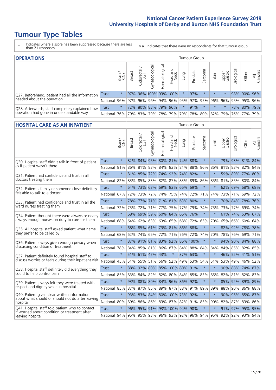# **Tumour Type Tables**

- \* Indicates where a score has been suppressed because there are less than 21 responses.
- n.a. Indicates that there were no respondents for that tumour group.

| <b>OPERATIONS</b><br>Tumour Group                                                           |              |              |               |                   |                       |                    |                  |         |          |         |         |                 |            |                                         |                |
|---------------------------------------------------------------------------------------------|--------------|--------------|---------------|-------------------|-----------------------|--------------------|------------------|---------|----------|---------|---------|-----------------|------------|-----------------------------------------|----------------|
|                                                                                             |              | Brain<br>CNS | <b>Breast</b> | Colorectal<br>LGT | त्त<br>Gynaecologic   | శ్ర<br>Haematologi | Head and<br>Neck | Lung    | Prostate | Sarcoma | Skin    | Upper<br>Gastro | Irological | Other                                   | All<br>Cancers |
| Q27. Beforehand, patient had all the information<br>needed about the operation              | Trust        | $\star$      |               |                   | 97% 96% 100% 93% 100% |                    |                  |         | 97%      |         | $\star$ | $\star$         |            | 98% 90% 96%                             |                |
|                                                                                             | National     |              |               |                   | 96% 97% 96% 96%       |                    |                  |         |          |         |         |                 |            | 94% 96% 95% 97% 95% 96% 96% 95% 95% 96% |                |
| Q28. Afterwards, staff completely explained how<br>operation had gone in understandable way | <b>Trust</b> | $\star$      |               |                   | 72% 80% 83% 79% 96%   |                    |                  | $\star$ | 91%      |         | $\star$ |                 |            | 78% 80% 79%                             |                |
|                                                                                             | National I   | 76%          |               | 79% 83%           |                       |                    |                  |         |          |         |         |                 |            | 79% 78% 79% 79% 78% 80% 82% 79% 76% 77% | 79%            |

#### **HOSPITAL CARE AS AN INPATIENT** Tumour Group

|                                                                                                   |              | Brain   | Breast  | Colorectal /<br>LGT | Gynaecological  | Haematological | Head and<br>Neck             | Lung        | Prostate | Sarcoma | Skin                                | Upper<br>Gastro | Urological | Other           | All<br>Cancers |
|---------------------------------------------------------------------------------------------------|--------------|---------|---------|---------------------|-----------------|----------------|------------------------------|-------------|----------|---------|-------------------------------------|-----------------|------------|-----------------|----------------|
| Q30. Hospital staff didn't talk in front of patient                                               | Trust        | $\star$ | $82\%$  | 84%                 | 95%             |                | 80% 81% 74%                  |             | 88%      | $\star$ | $\star$                             |                 |            | 79% 93% 81% 84% |                |
| as if patient wasn't there                                                                        | National     | 81%     | 86%     | 81%                 | 83%             | 84%            | 83%                          | 81%         | 88%      | 86%     | 86%                                 | 81%             | 83%        | 82%             | 84%            |
| Q31. Patient had confidence and trust in all                                                      | Trust        | $\star$ | 81% 85% |                     | 72%             |                | 74% 92% 74% 82%              |             |          | $\star$ | $\star$                             |                 |            | 59% 89% 77% 80% |                |
| doctors treating them                                                                             | National     | 82%     |         |                     |                 |                | 83% 85% 83% 82% 87% 83%      |             | 89%      | 86%     | 85%                                 |                 | 81% 85%    | 80% 84%         |                |
| Q32. Patient's family or someone close definitely                                                 | <b>Trust</b> | $\star$ |         | 64% 73%             |                 |                | 63% 69% 83% 66%              |             | 69%      | $\star$ | $\star$                             |                 |            | 62% 69% 68% 68% |                |
| felt able to talk to a doctor                                                                     | National     | 67%     | 72%     | 73%                 | 72%             | 74%            |                              | 75% 74%     | 72%      | 71%     | 74%                                 |                 | 73% 71%    | 69%             | 72%            |
| Q33. Patient had confidence and trust in all the<br>ward nurses treating them                     | Trust        | $\star$ |         |                     |                 |                | 78% 77% 71% 71% 81% 63% 80%  |             |          | $\star$ | $\star$                             |                 |            | 70% 84% 78% 76% |                |
|                                                                                                   | National     | 72%     | 73%     | 72%                 |                 |                | 71% 77% 75% 77%              |             | 79%      | 74%     | 75%                                 |                 | 73% 77%    | 69%             | 74%            |
| Q34. Patient thought there were always or nearly<br>always enough nurses on duty to care for them | <b>Trust</b> | $\star$ | 68%     | 69%                 | 59%             |                | 60% 84% 66%                  |             | 76%      | $\star$ | $\star$                             | 61%             | 74%        | 53%             | 67%            |
|                                                                                                   | National     | 68%     | 64%     | 62%                 | 63%             | 63%            | 65%                          | 68%         | 72%      | 65%     | 70%                                 | 65%             | 66%        | 60%             | 64%            |
| Q35. All hospital staff asked patient what name                                                   | Trust        | $\star$ |         |                     |                 |                | 68% 85% 61% 73% 81% 86% 88%  |             |          | $\star$ | $\star$                             |                 |            | 82% 92% 78% 78% |                |
| they prefer to be called by                                                                       | National     | 68%     | 62%     | 74% 65%             |                 | 72%            |                              | 71% 76% 72% |          | 74%     | 70%                                 | 78%             | 76%        | 69%             | 71%            |
| Q36. Patient always given enough privacy when                                                     | Trust        | $\star$ |         |                     |                 |                | 87% 91% 81% 83% 92% 86% 100% |             |          | $\star$ | $\star$                             | 94%             |            | 90% 84% 88%     |                |
| discussing condition or treatment                                                                 | National     | 78%     |         |                     |                 |                | 84% 85% 81% 86% 87% 84%      |             | 88%      | 84%     | 84%                                 |                 | 84% 85%    | 82%             | 85%            |
| Q37. Patient definitely found hospital staff to                                                   | <b>Trust</b> | $\star$ |         |                     | 51% 61% 47% 43% |                | $\star$                      | 37%         | 63%      | $\star$ | $\star$                             |                 |            | 46% 52% 41%     | 51%            |
| discuss worries or fears during their inpatient visit                                             | National     | 45%     |         |                     |                 |                | 51% 55% 51% 56% 52% 49% 53%  |             |          |         | 54% 51%                             |                 |            | 53% 49% 46% 52% |                |
| Q38. Hospital staff definitely did everything they                                                | <b>Trust</b> | $\star$ |         |                     |                 |                | 88% 92% 80% 85% 100% 80% 91% |             |          | $\star$ | $\star$                             |                 |            | 90% 88% 74% 87% |                |
| could to help control pain                                                                        | National     | 85%     | 83%     | 84%                 | 82%             | 82%            |                              | 80% 84%     | 85%      | 83%     | 85%                                 | 82%             | 81%        | 82%             | 83%            |
| Q39. Patient always felt they were treated with                                                   | <b>Trust</b> | $\star$ | 93%     | 88%                 |                 |                | 80% 84% 96% 86% 92%          |             |          | $\star$ | $\star$                             | 85%             |            | 92% 89% 89%     |                |
| respect and dignity while in hospital                                                             | National     | 85%     |         |                     |                 |                | 87% 87% 85% 89% 87% 88% 91%  |             |          | 89%     | 89%                                 |                 |            | 88% 90% 86% 88% |                |
| Q40. Patient given clear written information<br>about what should or should not do after leaving  | Trust        | $\star$ | 93%     |                     |                 |                | 83% 84% 80% 100% 73%         |             | 92%      | $\star$ | $\star$                             |                 |            | 90% 95% 85% 87% |                |
| hospital                                                                                          | National     | 80%     | 89%     |                     |                 |                | 86% 86% 83% 87% 82%          |             | 91%      | 85%     | 90%                                 |                 | 82% 87%    | 83%             | 86%            |
| Q41. Hospital staff told patient who to contact<br>if worried about condition or treatment after  | Trust        | $\star$ |         |                     |                 |                | 96% 95% 91% 93% 100% 94% 98% |             |          | $\star$ | $\star$                             |                 |            | 91% 97% 95% 95% |                |
| leaving hospital                                                                                  | National     | 94%     |         |                     |                 |                |                              |             |          |         | 95% 95% 93% 96% 93% 92% 96% 94% 95% |                 |            | 92% 92% 93% 94% |                |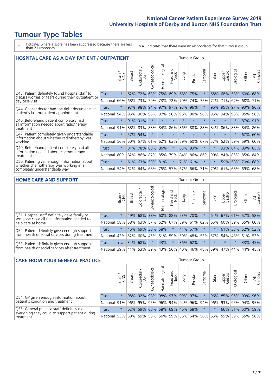# **Tumour Type Tables**

- \* Indicates where a score has been suppressed because there are less than 21 responses.
- n.a. Indicates that there were no respondents for that tumour group.

| <b>HOSPITAL CARE AS A DAY PATIENT / OUTPATIENT</b>                                                                    |              |         |               |                              |                |                |                         |         |          |          | <b>Tumour Group</b> |                 |            |             |                |  |  |  |  |  |
|-----------------------------------------------------------------------------------------------------------------------|--------------|---------|---------------|------------------------------|----------------|----------------|-------------------------|---------|----------|----------|---------------------|-----------------|------------|-------------|----------------|--|--|--|--|--|
|                                                                                                                       |              | Brain   | <b>Breast</b> | olorectal /<br>LGT<br>$\cup$ | Gynaecological | Haematological | ead and<br>Neck<br>Head | Lung    | Prostate | Sarcoma  | Skin                | Upper<br>Gastro | Urological | Other       | All<br>Cancers |  |  |  |  |  |
| Q43. Patient definitely found hospital staff to                                                                       | <b>Trust</b> | $\star$ | 62%           | 72%                          | 68%            | 75%            | 89%                     | 68%     | 75%      | $\star$  | 68%                 | 68%             | 58%        | 60%         | 68%            |  |  |  |  |  |
| discuss worries or fears during their outpatient or<br>day case visit                                                 | National     | 66%     | 68%           | 73%                          | 70%            | 73%            | 72%                     | 70%     | 74%      | 72%      | 72%                 | 71%             | 67%        | 68%         | 71%            |  |  |  |  |  |
| Q44. Cancer doctor had the right documents at<br>patient's last outpatient appointment                                | Trust        | $\star$ | 97%           | 98%                          | 94%            | 97%            | 97%                     | 93%     | 96%      | $\star$  | 96%                 | 95%             | 97%        | 93%         | 96%            |  |  |  |  |  |
|                                                                                                                       | National     | 94%     | 96%           | 96%                          | 96%            | 97%            |                         | 96% 96% | 96%      | 96%      | 96%                 |                 | 94% 96%    | 95%         | 96%            |  |  |  |  |  |
| Q46. Beforehand patient completely had                                                                                | Trust        | $\star$ |               | 91% 91%                      | $\star$        | $\star$        | $\star$                 | $\star$ | $\star$  | $\star$  | $\star$             | $\star$         | $\star$    | 87% 91%     |                |  |  |  |  |  |
| all information needed about radiotherapy<br>treatment                                                                | National     | 91%     | 88%           | 83%                          | 88%            | 84%            | 86%                     | 86%     | 88%      | 88%      | 84%                 | 86%             | 83%        | 84%         | 86%            |  |  |  |  |  |
| Q47. Patient completely given understandable<br>information about whether radiotherapy was                            | Trust        | $\star$ | 57%           | 54%                          | $\star$        |                | $\star$                 | $\star$ | $\star$  | $\star$  |                     |                 | $\star$    | 67%         | 60%            |  |  |  |  |  |
| working                                                                                                               | National     | 56%     | 60%           | 57%                          | 61%            | 62%            | 63%                     | 59%     | 60%      | 67%      | 57%                 | 52%             | 59%        | 59%         | 60%            |  |  |  |  |  |
| Q49. Beforehand patient completely had all                                                                            | Trust        | $\star$ | 81%           | 78%                          | 88%            | 86%            | $\star$                 | 83%     | 93%      | $^\star$ |                     | 93%             | 84%        | 89%         | 85%            |  |  |  |  |  |
| information needed about chemotherapy<br>treatment                                                                    | National     | 80%     | 82%           | 86%                          | 87% 85%        |                | 79%                     |         | 84% 86%  | 86%      | 90%                 |                 |            | 84% 85% 85% | 84%            |  |  |  |  |  |
| Q50. Patient given enough information about<br>whether chemotherapy was working in a<br>completely understandable way | <b>Trust</b> | $\star$ | 61%           | 63%                          | 59%            | 81%            | $\star$                 |         | 71% 61%  | $\star$  | $\star$             | 59%             | 58%        | 70%         | 68%            |  |  |  |  |  |
|                                                                                                                       | National     | 54%     | 62%           | 64%                          | 68%            | 75%            | 57%                     | 67%     | 66%      | 71%      | 79%                 | 61%             | 68%        | 69%         | 68%            |  |  |  |  |  |
|                                                                                                                       |              |         |               |                              |                |                |                         |         |          |          |                     |                 |            |             |                |  |  |  |  |  |

#### **HOME CARE AND SUPPORT** Tumour Group

|              | Brain   | <b>Breast</b> | Colorectal<br>LGT          | त्त<br>Gynaecologic                         | Haematological        | Head and<br>Neck | Dung | Prostate | Sarcoma                                                     | Skin    | Upper<br>Gastro | Urological                                                              | Other   | All<br>Cancers                                                              |
|--------------|---------|---------------|----------------------------|---------------------------------------------|-----------------------|------------------|------|----------|-------------------------------------------------------------|---------|-----------------|-------------------------------------------------------------------------|---------|-----------------------------------------------------------------------------|
| <b>Trust</b> | $\star$ | 49%           | 68%                        |                                             |                       |                  |      |          |                                                             |         |                 |                                                                         |         | 58%                                                                         |
| National     |         |               |                            |                                             |                       |                  |      |          |                                                             |         |                 |                                                                         |         |                                                                             |
| Trust        | $\star$ |               |                            |                                             |                       | $\star$          |      |          |                                                             |         |                 |                                                                         |         |                                                                             |
| National     |         |               |                            |                                             |                       |                  |      |          |                                                             |         |                 |                                                                         |         | 52%                                                                         |
| Trust        | n.a.    |               |                            | $\star$                                     | 43%                   | $\star$          |      |          | $\star$                                                     | $\star$ | $\star$         | $\star$                                                                 | 33% 45% |                                                                             |
|              |         |               |                            |                                             |                       |                  |      |          |                                                             |         |                 |                                                                         |         | 45%                                                                         |
|              |         |               | 58%<br>42%<br>National 39% | 46% 69%<br>52%<br>60%<br>34% 68%<br>41% 53% | 38%<br>58% 63%<br>39% | 30% 58%          |      |          | 60% 88% 53% 70%<br>41% 57%<br>36% 62%<br>$ 43\% 56\% 40\% $ | 46%     | 48% 59%         | 57% 62% 67% 59% 61% 62% 65%<br> 45%   51%   59%   50%   48%   53%   57% | 47% 44% | 64% 67% 61% 57%<br>60% 59% 55% 60%<br>61% 38% 52% 52%<br>54% 48% 51%<br>44% |

| <b>CARE FROM YOUR GENERAL PRACTICE</b>                                                                     |                      |         |               |                        |               |                     |                  | Tumour Group |                             |         |      |                 |                                                                 |       |                |  |  |
|------------------------------------------------------------------------------------------------------------|----------------------|---------|---------------|------------------------|---------------|---------------------|------------------|--------------|-----------------------------|---------|------|-----------------|-----------------------------------------------------------------|-------|----------------|--|--|
|                                                                                                            |                      | Brain,  | <b>Breast</b> | ー<br>Colorectal<br>LGT | Gynaecologica | ಸ<br>Haematologic   | Head and<br>Neck | Lung         | Prostate                    | Sarcoma | Skin | Upper<br>Gastro | ъ<br>Jrologica                                                  | Other | All<br>Cancers |  |  |
| Q54. GP given enough information about<br>patient's condition and treatment                                | Trust                | $\star$ |               | 98% 92%                |               | 98% 98% 97% 99% 97% |                  |              |                             |         |      |                 | 96% 85% 96% 93% 96%                                             |       |                |  |  |
|                                                                                                            | National 91%         |         |               | 96% 95%                |               |                     |                  |              | 95% 96% 94% 94% 96% 94% 96% |         |      |                 | 93% 95% 94% 95%                                                 |       |                |  |  |
| Q55. General practice staff definitely did<br>everything they could to support patient during<br>treatment | <b>Trust</b>         | $\star$ |               | 62% 59%                |               | 60% 58% 69% 46% 68% |                  |              |                             |         |      |                 | 66% 51% 50% 59%                                                 |       |                |  |  |
|                                                                                                            | National 55% 58% 59% |         |               |                        |               |                     |                  |              |                             |         |      |                 | 56%   56%   59%   56%   64%   56%   65%   59%   59%   55%   58% |       |                |  |  |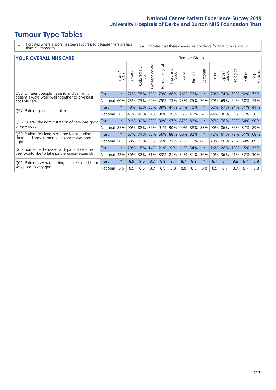### **Tumour Type Tables**

- \* Indicates where a score has been suppressed because there are less than 21 responses.
- n.a. Indicates that there were no respondents for that tumour group.

| <b>YOUR OVERALL NHS CARE</b>                      |                                                  |                                                          |                 |                          |                |                         |                           |                                          | <b>Tumour Group</b>                                               |         |                 |                                 |            |                                                                                                               |  |  |  |  |
|---------------------------------------------------|--------------------------------------------------|----------------------------------------------------------|-----------------|--------------------------|----------------|-------------------------|---------------------------|------------------------------------------|-------------------------------------------------------------------|---------|-----------------|---------------------------------|------------|---------------------------------------------------------------------------------------------------------------|--|--|--|--|
|                                                   | Brain/<br>CNS                                    | Breast                                                   | ╮<br>Colorectal | Gynaecological           | Haematological | aad and<br>Neck<br>Head | Lung                      | Prostate                                 | Sarcoma                                                           | Skin    | Upper<br>Gastro | Urologica                       | Other      | All<br>Cancers                                                                                                |  |  |  |  |
| <b>Trust</b>                                      | $\star$                                          | 72%                                                      | 78%             | 70%                      |                | 88%                     | 76%                       | 76%                                      | $^\star$                                                          | 70%     |                 | 69%                             | 62%        | 73%                                                                                                           |  |  |  |  |
|                                                   | 60%                                              | 73%                                                      | 73%             | 69%                      | 75%            | 73%                     |                           | 75%                                      | 70%                                                               |         | 69%             | 74%                             | 68%        | 73%                                                                                                           |  |  |  |  |
| Trust                                             | $\star$                                          |                                                          | 43%             | 30%                      |                |                         |                           |                                          |                                                                   |         |                 |                                 |            | 141%                                                                                                          |  |  |  |  |
| National                                          | 36%                                              |                                                          | 40%             | 34%                      |                |                         |                           | 40%                                      | 34%                                                               |         |                 |                                 |            | 38%                                                                                                           |  |  |  |  |
| Trust                                             | $^\star$                                         |                                                          |                 |                          |                |                         |                           |                                          |                                                                   |         |                 |                                 |            |                                                                                                               |  |  |  |  |
|                                                   | 85%                                              |                                                          |                 |                          |                |                         |                           |                                          | 88%                                                               |         |                 |                                 |            |                                                                                                               |  |  |  |  |
| <b>Trust</b>                                      | $^\star$                                         | 67%                                                      |                 |                          |                |                         |                           |                                          |                                                                   |         |                 |                                 |            |                                                                                                               |  |  |  |  |
|                                                   | 58%                                              | 68%                                                      | 73%             |                          |                |                         | 71%                       | 76%                                      | 68%                                                               |         | 66%             |                                 | 64%        | 69%                                                                                                           |  |  |  |  |
| Trust                                             | $\star$                                          | 29%                                                      | 18%             | 14%                      | 21%            | 9%                      | 11%                       | 34%                                      |                                                                   | 16%     | 26%             | 18%                             | 15%        | 22%                                                                                                           |  |  |  |  |
|                                                   | 42%                                              | 30%                                                      | 32%             | 31%                      |                | 21%                     |                           | 31%                                      | 36%                                                               |         |                 |                                 | 32%        | 30%                                                                                                           |  |  |  |  |
| <b>Trust</b>                                      | $\star$                                          | 8.9                                                      | 9.0             | 8.7                      | 8.9            | 9.4                     | 8.7                       | 8.9                                      | $^\star$                                                          | 8.7     | 8.1             | 8.8                             | 8.4        | 8.8                                                                                                           |  |  |  |  |
|                                                   | 8.6                                              | 8.9                                                      | 8.8             | 8.7                      | 8.9            | 8.8                     | 8.8                       | 8.8                                      | 8.8                                                               | 8.9     | 8.7             | 8.7                             | 8.7        | 8.8                                                                                                           |  |  |  |  |
| Q61. Patient's average rating of care scored from | Q58. Overall the administration of care was good | National<br>National<br>National<br>National<br>National |                 | 48%<br>41%<br>91%<br>90% | 90%            | 88% 87%<br>66%<br>33%   | 73%<br>39% 41%<br>66% 71% | 36% 39%<br>$91\%$ 90%<br>74% 63% 66% 88% | 73%<br>34% 46%<br>$36\%$<br>89% 92% 97% 87% 86%<br>60% 82%<br>34% | 90% 88% |                 | 79%<br>62%<br>44%<br>73%<br>20% | 74%<br>36% | 57% 24% 31%<br>36% 33% 31%<br>97% 76% 92% 84% 90%<br>90% 86% 85% 87% 89%<br>72% 61% 72% 61% 68%<br>75%<br>21% |  |  |  |  |

₹ Cancers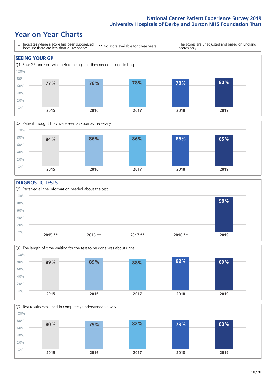### **Year on Year Charts**





#### **DIAGNOSTIC TESTS**





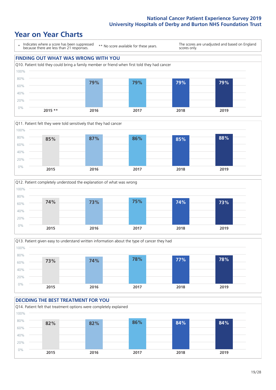### **Year on Year Charts**









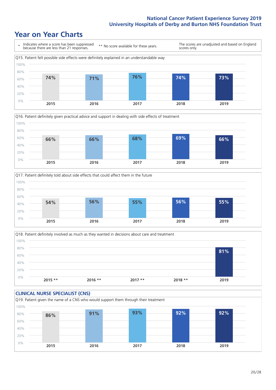### **Year on Year Charts**







Q18. Patient definitely involved as much as they wanted in decisions about care and treatment  $0%$ 20% 40% 60% 80% 100% **2015 \*\* 2016 \*\* 2017 \*\* 2018 \*\* 2019 81%**

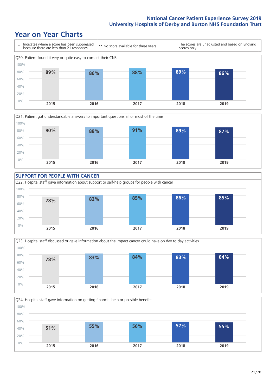### **Year on Year Charts**









Q24. Hospital staff gave information on getting financial help or possible benefits 0% 20% 40% 60% 80% 100% **2015 2016 2017 2018 2019 51% 55% 56% 57% 55%**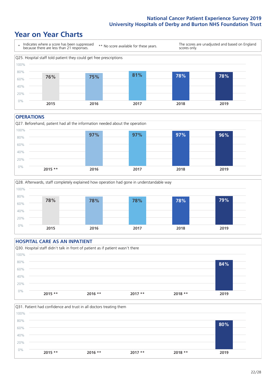### **Year on Year Charts**



#### **OPERATIONS**





### **HOSPITAL CARE AS AN INPATIENT** Q30. Hospital staff didn't talk in front of patient as if patient wasn't there 0% 20% 40% 60% 80% 100% **2015 \*\* 2016 \*\* 2017 \*\* 2018 \*\* 2019 84%**

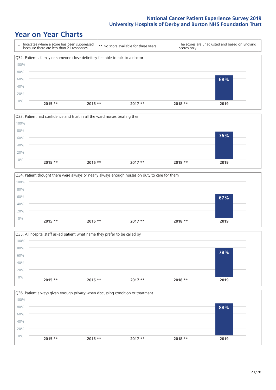### **Year on Year Charts**









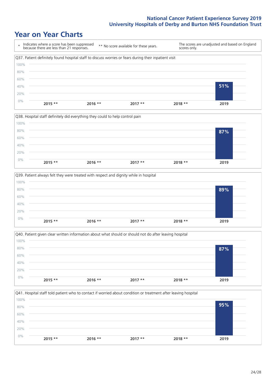### **Year on Year Charts**









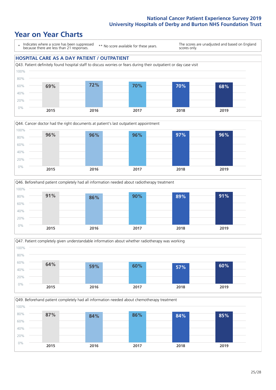### **Year on Year Charts**

\* Indicates where a score has been suppressed because there are less than 21 responses.

\*\* No score available for these years.

The scores are unadjusted and based on England scores only.









Q49. Beforehand patient completely had all information needed about chemotherapy treatment 0% 20% 40% 60% 80% 100% **2015 2016 2017 2018 2019 87% 84% 86% 84% 85%**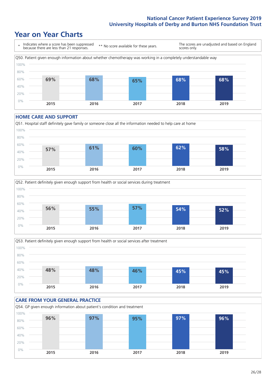### **Year on Year Charts**



#### **HOME CARE AND SUPPORT**







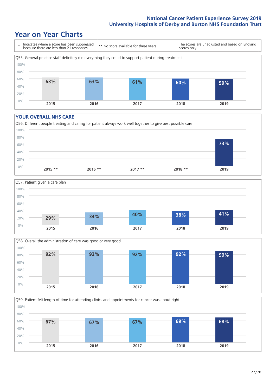### **Year on Year Charts**



#### **YOUR OVERALL NHS CARE**







Q59. Patient felt length of time for attending clinics and appointments for cancer was about right 100%